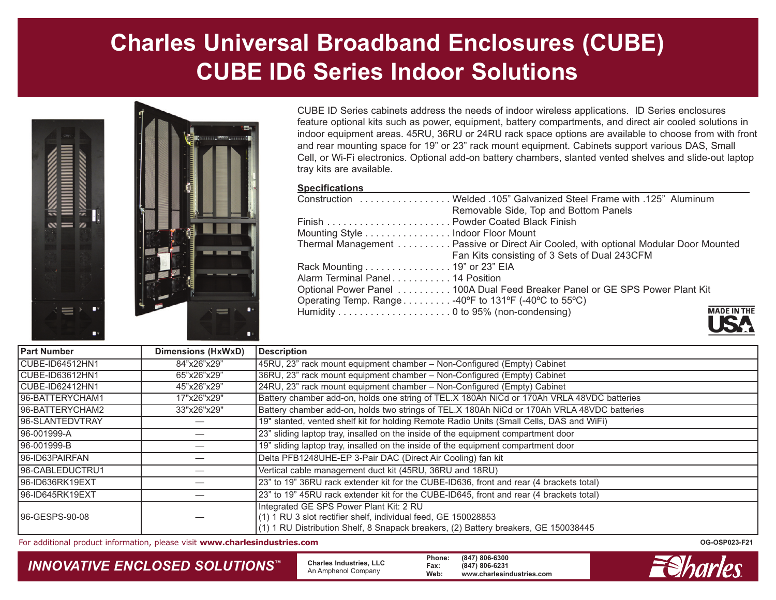# **Charles Universal Broadband Enclosures (CUBE) CUBE ID6 Series Indoor Solutions**



CUBE ID Series cabinets address the needs of indoor wireless applications. ID Series enclosures feature optional kits such as power, equipment, battery compartments, and direct air cooled solutions in indoor equipment areas. 45RU, 36RU or 24RU rack space options are available to choose from with front and rear mounting space for 19" or 23" rack mount equipment. Cabinets support various DAS, Small Cell, or Wi-Fi electronics. Optional add-on battery chambers, slanted vented shelves and slide-out laptop tray kits are available.

#### **Specifications**

|                                                     | Construction  Welded .105" Galvanized Steel Frame with .125" Aluminum               |                |
|-----------------------------------------------------|-------------------------------------------------------------------------------------|----------------|
|                                                     | Removable Side, Top and Bottom Panels                                               |                |
|                                                     |                                                                                     |                |
| Mounting Style Indoor Floor Mount                   |                                                                                     |                |
|                                                     | Thermal Management Passive or Direct Air Cooled, with optional Modular Door Mounted |                |
|                                                     | Fan Kits consisting of 3 Sets of Dual 243CFM                                        |                |
| Rack Mounting 19" or 23" EIA                        |                                                                                     |                |
| Alarm Terminal Panel 14 Position                    |                                                                                     |                |
|                                                     | Optional Power Panel 100A Dual Feed Breaker Panel or GE SPS Power Plant Kit         |                |
| Operating Temp. Range 40°F to 131°F (-40°C to 55°C) |                                                                                     |                |
|                                                     |                                                                                     | <b>MADE IN</b> |
|                                                     |                                                                                     |                |



| <b>Part Number</b> | <b>Dimensions (HxWxD)</b> | <b>Description</b>                                                                                                                                                                               |  |
|--------------------|---------------------------|--------------------------------------------------------------------------------------------------------------------------------------------------------------------------------------------------|--|
| CUBE-ID64512HN1    | 84"x26"x29"               | 45RU, 23" rack mount equipment chamber - Non-Configured (Empty) Cabinet                                                                                                                          |  |
| CUBE-ID63612HN1    | 65"x26"x29"               | 36RU, 23" rack mount equipment chamber - Non-Configured (Empty) Cabinet                                                                                                                          |  |
| CUBE-ID62412HN1    | 45"x26"x29"               | 24RU, 23" rack mount equipment chamber - Non-Configured (Empty) Cabinet                                                                                                                          |  |
| 96-BATTERYCHAM1    | 17"x26"x29"               | Battery chamber add-on, holds one string of TEL.X 180Ah NiCd or 170Ah VRLA 48VDC batteries                                                                                                       |  |
| 96-BATTERYCHAM2    | 33"x26"x29"               | Battery chamber add-on, holds two strings of TEL.X 180Ah NiCd or 170Ah VRLA 48VDC batteries                                                                                                      |  |
| 96-SLANTEDVTRAY    |                           | 19" slanted, vented shelf kit for holding Remote Radio Units (Small Cells, DAS and WiFi)                                                                                                         |  |
| 96-001999-A        |                           | 23" sliding laptop tray, insalled on the inside of the equipment compartment door                                                                                                                |  |
| 96-001999-B        |                           | 19" sliding laptop tray, insalled on the inside of the equipment compartment door                                                                                                                |  |
| 96-ID63PAIRFAN     |                           | Delta PFB1248UHE-EP 3-Pair DAC (Direct Air Cooling) fan kit                                                                                                                                      |  |
| 96-CABLEDUCTRU1    |                           | Vertical cable management duct kit (45RU, 36RU and 18RU)                                                                                                                                         |  |
| 96-ID636RK19EXT    |                           | 23" to 19" 36RU rack extender kit for the CUBE-ID636, front and rear (4 brackets total)                                                                                                          |  |
| 96-ID645RK19EXT    |                           | 23" to 19" 45RU rack extender kit for the CUBE-ID645, front and rear (4 brackets total)                                                                                                          |  |
| 96-GESPS-90-08     |                           | Integrated GE SPS Power Plant Kit: 2 RU<br>(1) 1 RU 3 slot rectifier shelf, individual feed, GE 150028853<br>(1) 1 RU Distribution Shelf, 8 Snapack breakers, (2) Battery breakers, GE 150038445 |  |

For additional product information, please visit **www.charlesindustries.com CG-OSP023-F21 OG-OSP023-F21 OG-OSP023-F21** 

## *INNOVATIVE ENCLOSED SOLUTIONS™* **Charles Industries, LLC** An Amphenol Company **Phone: (847) 806-6300 Fax: (847) 806-6231 Web: www.charlesindustries.com**